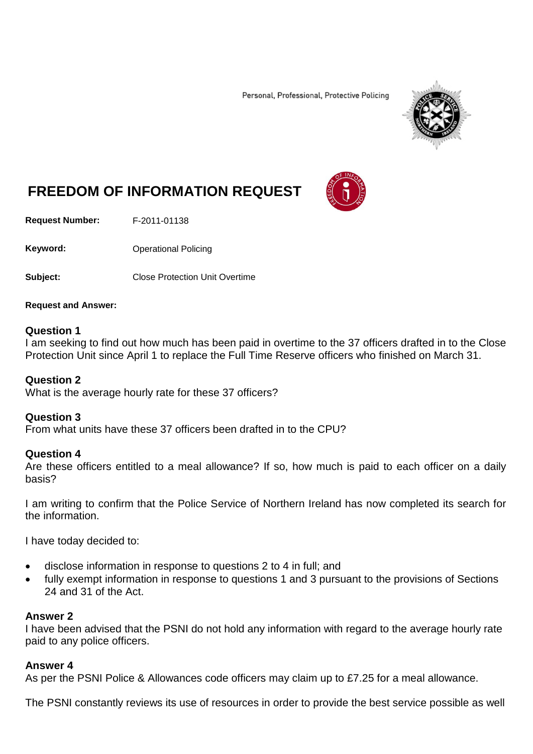Personal, Professional, Protective Policing



# **FREEDOM OF INFORMATION REQUEST**

**Request Number:** F-2011-01138

Keyword: **Channel Policing** Operational Policing

**Subject:** Close Protection Unit Overtime

**Request and Answer:**

## **Question 1**

I am seeking to find out how much has been paid in overtime to the 37 officers drafted in to the Close Protection Unit since April 1 to replace the Full Time Reserve officers who finished on March 31.

## **Question 2**

What is the average hourly rate for these 37 officers?

## **Question 3**

From what units have these 37 officers been drafted in to the CPU?

## **Question 4**

Are these officers entitled to a meal allowance? If so, how much is paid to each officer on a daily basis?

I am writing to confirm that the Police Service of Northern Ireland has now completed its search for the information.

I have today decided to:

- disclose information in response to questions 2 to 4 in full; and
- fully exempt information in response to questions 1 and 3 pursuant to the provisions of Sections 24 and 31 of the Act.

## **Answer 2**

I have been advised that the PSNI do not hold any information with regard to the average hourly rate paid to any police officers.

# **Answer 4**

As per the PSNI Police & Allowances code officers may claim up to £7.25 for a meal allowance.

The PSNI constantly reviews its use of resources in order to provide the best service possible as well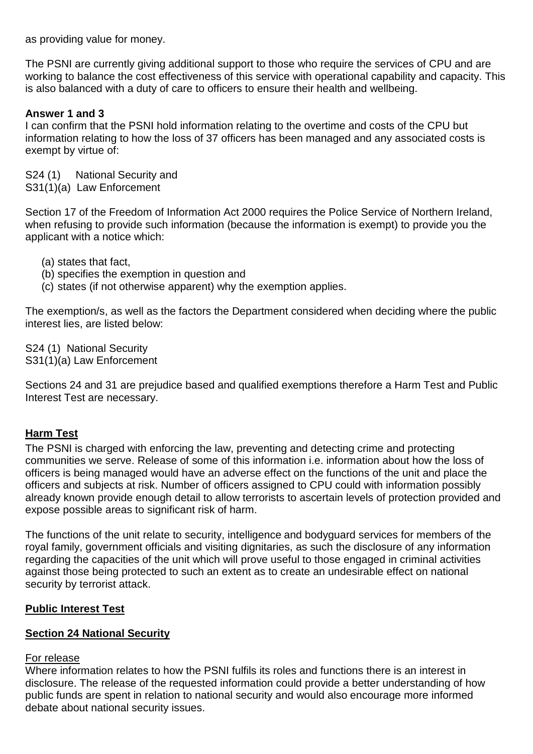as providing value for money.

The PSNI are currently giving additional support to those who require the services of CPU and are working to balance the cost effectiveness of this service with operational capability and capacity. This is also balanced with a duty of care to officers to ensure their health and wellbeing.

# **Answer 1 and 3**

I can confirm that the PSNI hold information relating to the overtime and costs of the CPU but information relating to how the loss of 37 officers has been managed and any associated costs is exempt by virtue of:

S24 (1) National Security and S31(1)(a) Law Enforcement

Section 17 of the Freedom of Information Act 2000 requires the Police Service of Northern Ireland, when refusing to provide such information (because the information is exempt) to provide you the applicant with a notice which:

- (a) states that fact,
- (b) specifies the exemption in question and
- (c) states (if not otherwise apparent) why the exemption applies.

The exemption/s, as well as the factors the Department considered when deciding where the public interest lies, are listed below:

S24 (1) National Security S31(1)(a) Law Enforcement

Sections 24 and 31 are prejudice based and qualified exemptions therefore a Harm Test and Public Interest Test are necessary.

# **Harm Test**

The PSNI is charged with enforcing the law, preventing and detecting crime and protecting communities we serve. Release of some of this information i.e. information about how the loss of officers is being managed would have an adverse effect on the functions of the unit and place the officers and subjects at risk. Number of officers assigned to CPU could with information possibly already known provide enough detail to allow terrorists to ascertain levels of protection provided and expose possible areas to significant risk of harm.

The functions of the unit relate to security, intelligence and bodyguard services for members of the royal family, government officials and visiting dignitaries, as such the disclosure of any information regarding the capacities of the unit which will prove useful to those engaged in criminal activities against those being protected to such an extent as to create an undesirable effect on national security by terrorist attack.

# **Public Interest Test**

# **Section 24 National Security**

# For release

Where information relates to how the PSNI fulfils its roles and functions there is an interest in disclosure. The release of the requested information could provide a better understanding of how public funds are spent in relation to national security and would also encourage more informed debate about national security issues.